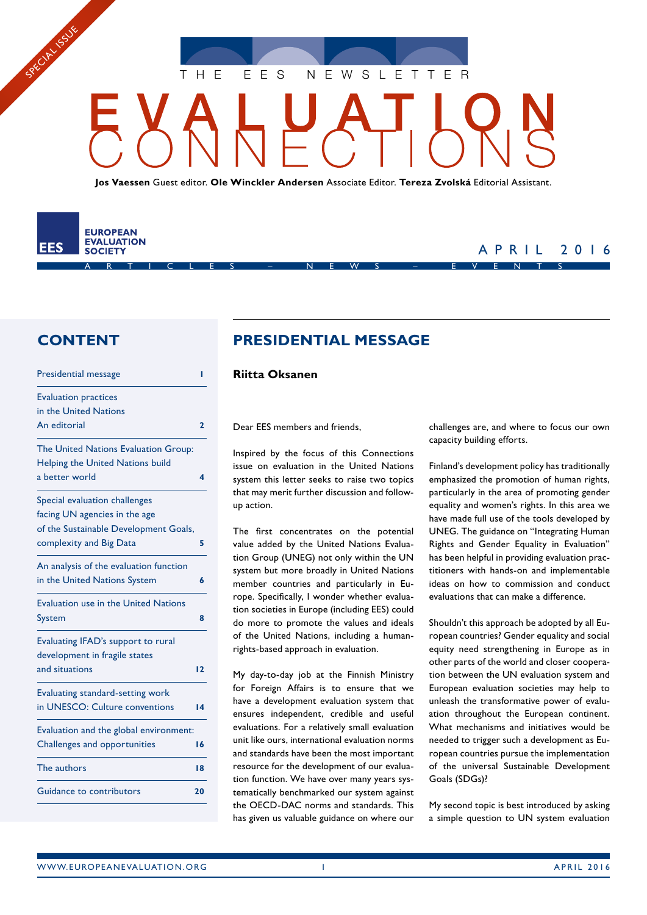THE EES NEWSLETTER

**Jos Vaessen** Guest editor. **Ole Winckler Andersen** Associate Editor. **Tereza Zvolská** Editorial Assistant.

ARTICLES – NEWS – EVENTS

#### **EUROPEAN EVALUATION** EES **SOCIETY**

SPECIAL ISSUE

### APRIL 2016

### **CONTENT**

| Presidential message                        | ı  |
|---------------------------------------------|----|
| <b>Evaluation practices</b>                 |    |
| in the United Nations                       |    |
| An editorial                                | 2  |
| The United Nations Evaluation Group:        |    |
| Helping the United Nations build            |    |
| a better world                              | 4  |
| Special evaluation challenges               |    |
| facing UN agencies in the age               |    |
| of the Sustainable Development Goals,       |    |
| complexity and Big Data                     | 5  |
| An analysis of the evaluation function      |    |
| in the United Nations System                | 6  |
| <b>Evaluation use in the United Nations</b> |    |
| <b>System</b>                               | 8  |
| Evaluating IFAD's support to rural          |    |
| development in fragile states               |    |
| and situations                              | 12 |
| Evaluating standard-setting work            |    |
| in UNESCO: Culture conventions              | 14 |
| Evaluation and the global environment:      |    |
| Challenges and opportunities                | 16 |
| The authors                                 | 18 |
| Guidance to contributors                    | 20 |

## **PRESIDENTIAL MESSAGE**

#### **Riitta Oksanen**

Dear EES members and friends,

Inspired by the focus of this Connections issue on evaluation in the United Nations system this letter seeks to raise two topics that may merit further discussion and followup action.

The first concentrates on the potential value added by the United Nations Evaluation Group (UNEG) not only within the UN system but more broadly in United Nations member countries and particularly in Europe. Specifically, I wonder whether evaluation societies in Europe (including EES) could do more to promote the values and ideals of the United Nations, including a humanrights-based approach in evaluation.

My day-to-day job at the Finnish Ministry for Foreign Affairs is to ensure that we have a development evaluation system that ensures independent, credible and useful evaluations. For a relatively small evaluation unit like ours, international evaluation norms and standards have been the most important resource for the development of our evaluation function. We have over many years systematically benchmarked our system against the OECD-DAC norms and standards. This has given us valuable guidance on where our challenges are, and where to focus our own capacity building efforts.

Finland's development policy has traditionally emphasized the promotion of human rights, particularly in the area of promoting gender equality and women's rights. In this area we have made full use of the tools developed by UNEG. The guidance on "Integrating Human Rights and Gender Equality in Evaluation" has been helpful in providing evaluation practitioners with hands-on and implementable ideas on how to commission and conduct evaluations that can make a difference.

Shouldn't this approach be adopted by all European countries? Gender equality and social equity need strengthening in Europe as in other parts of the world and closer cooperation between the UN evaluation system and European evaluation societies may help to unleash the transformative power of evaluation throughout the European continent. What mechanisms and initiatives would be needed to trigger such a development as European countries pursue the implementation of the universal Sustainable Development Goals (SDGs)?

My second topic is best introduced by asking a simple question to UN system evaluation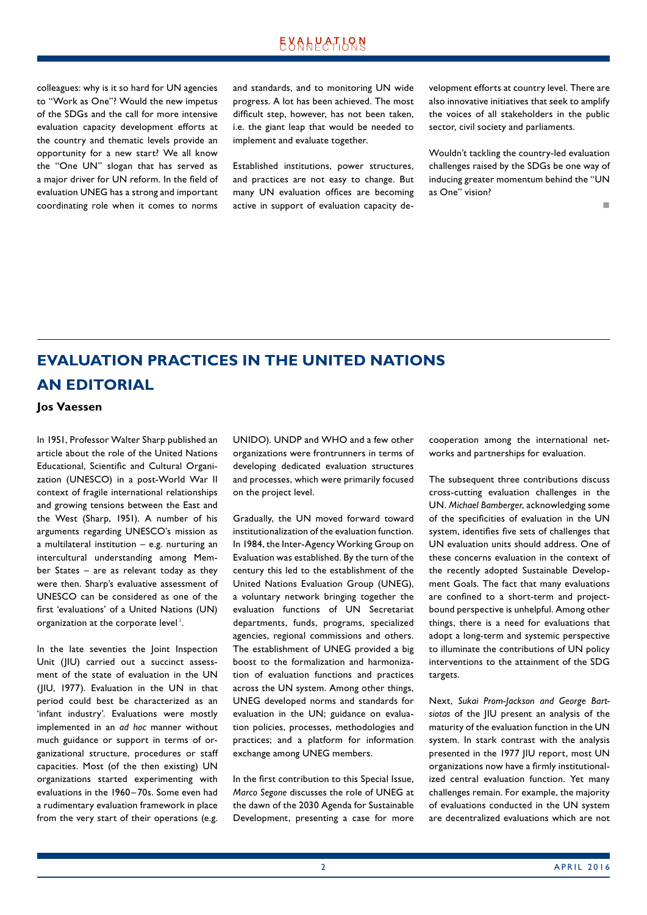<span id="page-1-0"></span>colleagues: why is it so hard for UN agencies to "Work as One"? Would the new impetus of the SDGs and the call for more intensive evaluation capacity development efforts at the country and thematic levels provide an opportunity for a new start? We all know the "One UN" slogan that has served as a major driver for UN reform. In the field of evaluation UNEG has a strong and important coordinating role when it comes to norms and standards, and to monitoring UN wide progress. A lot has been achieved. The most difficult step, however, has not been taken, i.e. the giant leap that would be needed to implement and evaluate together.

Established institutions, power structures, and practices are not easy to change. But many UN evaluation offices are becoming active in support of evaluation capacity development efforts at country level. There are also innovative initiatives that seek to amplify the voices of all stakeholders in the public sector, civil society and parliaments.

Wouldn't tackling the country-led evaluation challenges raised by the SDGs be one way of inducing greater momentum behind the "UN as One" vision?

n

# **EVALUATION PRACTICES IN THE UNITED NATIONS AN EDITORIAL**

**Jos Vaessen**

In 1951, Professor Walter Sharp published an article about the role of the United Nations Educational, Scientific and Cultural Organization (UNESCO) in a post-World War II context of fragile international relationships and growing tensions between the East and the West (Sharp, 1951). A number of his arguments regarding UNESCO's mission as a multilateral institution – e.g. nurturing an intercultural understanding among Member States – are as relevant today as they were then. Sharp's evaluative assessment of UNESCO can be considered as one of the first 'evaluations' of a United Nations (UN) organization at the corporate level<sup>1</sup>.

In the late seventies the Joint Inspection Unit (JIU) carried out a succinct assessment of the state of evaluation in the UN (JIU, 1977). Evaluation in the UN in that period could best be characterized as an 'infant industry'. Evaluations were mostly implemented in an *ad hoc* manner without much guidance or support in terms of organizational structure, procedures or staff capacities. Most (of the then existing) UN organizations started experimenting with evaluations in the 1960 –70s. Some even had a rudimentary evaluation framework in place from the very start of their operations (e.g. UNIDO). UNDP and WHO and a few other organizations were frontrunners in terms of developing dedicated evaluation structures and processes, which were primarily focused on the project level.

Gradually, the UN moved forward toward institutionalization of the evaluation function. In 1984, the Inter-Agency Working Group on Evaluation was established. By the turn of the century this led to the establishment of the United Nations Evaluation Group (UNEG), a voluntary network bringing together the evaluation functions of UN Secretariat departments, funds, programs, specialized agencies, regional commissions and others. The establishment of UNEG provided a big boost to the formalization and harmonization of evaluation functions and practices across the UN system. Among other things, UNEG developed norms and standards for evaluation in the UN; guidance on evaluation policies, processes, methodologies and practices; and a platform for information exchange among UNEG members.

In the first contribution to this Special Issue, *Marco Segone* discusses the role of UNEG at the dawn of the 2030 Agenda for Sustainable Development, presenting a case for more cooperation among the international networks and partnerships for evaluation.

The subsequent three contributions discuss cross-cutting evaluation challenges in the UN. *Michael Bamberger*, acknowledging some of the specificities of evaluation in the UN system, identifies five sets of challenges that UN evaluation units should address. One of these concerns evaluation in the context of the recently adopted Sustainable Development Goals. The fact that many evaluations are confined to a short-term and projectbound perspective is unhelpful. Among other things, there is a need for evaluations that adopt a long-term and systemic perspective to illuminate the contributions of UN policy interventions to the attainment of the SDG targets.

Next, *Sukai Prom-Jackson and George Bartsiotas* of the JIU present an analysis of the maturity of the evaluation function in the UN system. In stark contrast with the analysis presented in the 1977 JIU report, most UN organizations now have a firmly institutionalized central evaluation function. Yet many challenges remain. For example, the majority of evaluations conducted in the UN system are decentralized evaluations which are not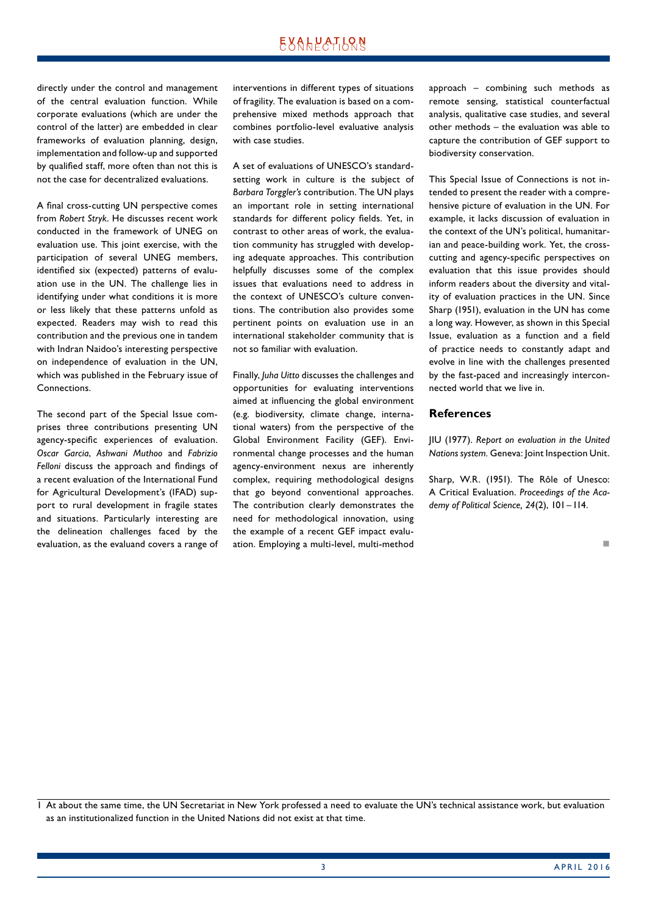directly under the control and management of the central evaluation function. While corporate evaluations (which are under the control of the latter) are embedded in clear frameworks of evaluation planning, design, implementation and follow-up and supported by qualified staff, more often than not this is not the case for decentralized evaluations.

A final cross-cutting UN perspective comes from *Robert Stryk*. He discusses recent work conducted in the framework of UNEG on evaluation use. This joint exercise, with the participation of several UNEG members, identified six (expected) patterns of evaluation use in the UN. The challenge lies in identifying under what conditions it is more or less likely that these patterns unfold as expected. Readers may wish to read this contribution and the previous one in tandem with Indran Naidoo's interesting perspective on independence of evaluation in the UN, which was published in the February issue of Connections.

The second part of the Special Issue comprises three contributions presenting UN agency-specific experiences of evaluation. *Oscar Garcia*, *Ashwani Muthoo* and *Fabrizio Felloni* discuss the approach and findings of a recent evaluation of the International Fund for Agricultural Development's (IFAD) support to rural development in fragile states and situations. Particularly interesting are the delineation challenges faced by the evaluation, as the evaluand covers a range of interventions in different types of situations of fragility. The evaluation is based on a comprehensive mixed methods approach that combines portfolio-level evaluative analysis with case studies.

A set of evaluations of UNESCO's standardsetting work in culture is the subject of *Barbara Torggler's* contribution. The UN plays an important role in setting international standards for different policy fields. Yet, in contrast to other areas of work, the evaluation community has struggled with developing adequate approaches. This contribution helpfully discusses some of the complex issues that evaluations need to address in the context of UNESCO's culture conventions. The contribution also provides some pertinent points on evaluation use in an international stakeholder community that is not so familiar with evaluation.

Finally, *Juha Uitto* discusses the challenges and opportunities for evaluating interventions aimed at influencing the global environment (e.g. biodiversity, climate change, international waters) from the perspective of the Global Environment Facility (GEF). Environmental change processes and the human agency-environment nexus are inherently complex, requiring methodological designs that go beyond conventional approaches. The contribution clearly demonstrates the need for methodological innovation, using the example of a recent GEF impact evaluation. Employing a multi-level, multi-method

approach – combining such methods as remote sensing, statistical counterfactual analysis, qualitative case studies, and several other methods – the evaluation was able to capture the contribution of GEF support to biodiversity conservation.

This Special Issue of Connections is not intended to present the reader with a comprehensive picture of evaluation in the UN. For example, it lacks discussion of evaluation in the context of the UN's political, humanitarian and peace-building work. Yet, the crosscutting and agency-specific perspectives on evaluation that this issue provides should inform readers about the diversity and vitality of evaluation practices in the UN. Since Sharp (1951), evaluation in the UN has come a long way. However, as shown in this Special Issue, evaluation as a function and a field of practice needs to constantly adapt and evolve in line with the challenges presented by the fast-paced and increasingly interconnected world that we live in.

#### **References**

JIU (1977). *Report on evaluation in the United Nations system.* Geneva: Joint Inspection Unit.

Sharp, W.R. (1951). The Rôle of Unesco: A Critical Evaluation. *Proceedings of the Academy of Political Science, 24*(2), 101 –114.

n

1 At about the same time, the UN Secretariat in New York professed a need to evaluate the UN's technical assistance work, but evaluation as an institutionalized function in the United Nations did not exist at that time.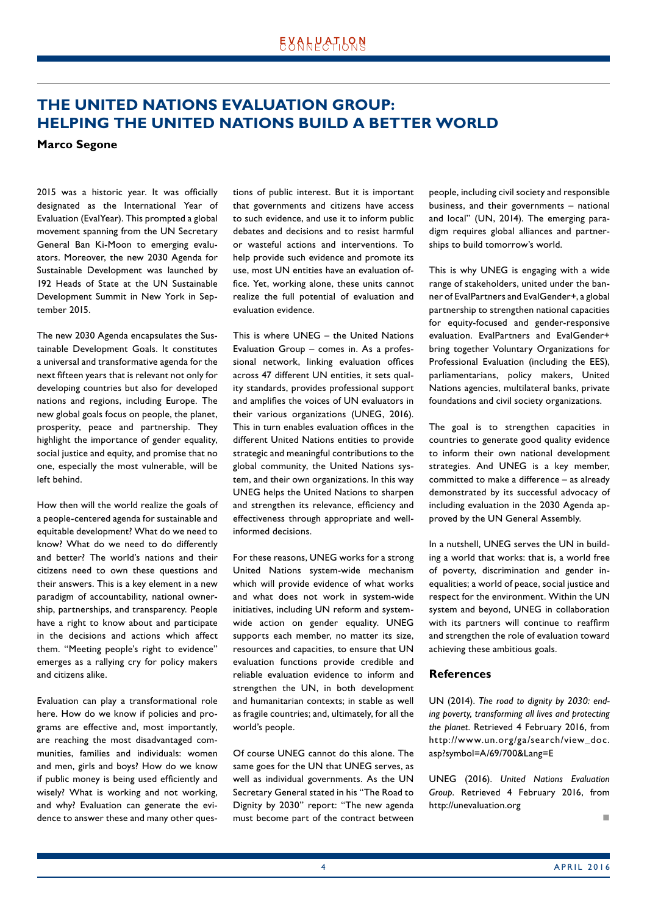### <span id="page-3-0"></span>**THE UNITED NATIONS EVALUATION GROUP: HELPING THE UNITED NATIONS BUILD A BETTER WORLD**

**Marco Segone**

2015 was a historic year. It was officially designated as the International Year of Evaluation (EvalYear). This prompted a global movement spanning from the UN Secretary General Ban Ki-Moon to emerging evaluators. Moreover, the new 2030 Agenda for Sustainable Development was launched by 192 Heads of State at the UN Sustainable Development Summit in New York in September 2015.

The new 2030 Agenda encapsulates the Sustainable Development Goals. It constitutes a universal and transformative agenda for the next fifteen years that is relevant not only for developing countries but also for developed nations and regions, including Europe. The new global goals focus on people, the planet, prosperity, peace and partnership. They highlight the importance of gender equality, social justice and equity, and promise that no one, especially the most vulnerable, will be left behind.

How then will the world realize the goals of a people-centered agenda for sustainable and equitable development? What do we need to know? What do we need to do differently and better? The world's nations and their citizens need to own these questions and their answers. This is a key element in a new paradigm of accountability, national ownership, partnerships, and transparency. People have a right to know about and participate in the decisions and actions which affect them. "Meeting people's right to evidence" emerges as a rallying cry for policy makers and citizens alike.

Evaluation can play a transformational role here. How do we know if policies and programs are effective and, most importantly, are reaching the most disadvantaged communities, families and individuals: women and men, girls and boys? How do we know if public money is being used efficiently and wisely? What is working and not working, and why? Evaluation can generate the evidence to answer these and many other questions of public interest. But it is important that governments and citizens have access to such evidence, and use it to inform public debates and decisions and to resist harmful or wasteful actions and interventions. To help provide such evidence and promote its use, most UN entities have an evaluation office. Yet, working alone, these units cannot realize the full potential of evaluation and evaluation evidence.

This is where UNEG – the United Nations Evaluation Group – comes in. As a professional network, linking evaluation offices across 47 different UN entities, it sets quality standards, provides professional support and amplifies the voices of UN evaluators in their various organizations (UNEG, 2016). This in turn enables evaluation offices in the different United Nations entities to provide strategic and meaningful contributions to the global community, the United Nations system, and their own organizations. In this way UNEG helps the United Nations to sharpen and strengthen its relevance, efficiency and effectiveness through appropriate and wellinformed decisions.

For these reasons, UNEG works for a strong United Nations system-wide mechanism which will provide evidence of what works and what does not work in system-wide initiatives, including UN reform and systemwide action on gender equality. UNEG supports each member, no matter its size, resources and capacities, to ensure that UN evaluation functions provide credible and reliable evaluation evidence to inform and strengthen the UN, in both development and humanitarian contexts; in stable as well as fragile countries; and, ultimately, for all the world's people.

Of course UNEG cannot do this alone. The same goes for the UN that UNEG serves, as well as individual governments. As the UN Secretary General stated in his "The Road to Dignity by 2030" report: "The new agenda must become part of the contract between people, including civil society and responsible business, and their governments – national and local" (UN, 2014). The emerging paradigm requires global alliances and partnerships to build tomorrow's world.

This is why UNEG is engaging with a wide range of stakeholders, united under the banner of EvalPartners and EvalGender+, a global partnership to strengthen national capacities for equity-focused and gender-responsive evaluation. EvalPartners and EvalGender+ bring together Voluntary Organizations for Professional Evaluation (including the EES), parliamentarians, policy makers, United Nations agencies, multilateral banks, private foundations and civil society organizations.

The goal is to strengthen capacities in countries to generate good quality evidence to inform their own national development strategies. And UNEG is a key member, committed to make a difference – as already demonstrated by its successful advocacy of including evaluation in the 2030 Agenda approved by the UN General Assembly.

In a nutshell, UNEG serves the UN in building a world that works: that is, a world free of poverty, discrimination and gender inequalities; a world of peace, social justice and respect for the environment. Within the UN system and beyond, UNEG in collaboration with its partners will continue to reaffirm and strengthen the role of evaluation toward achieving these ambitious goals.

#### **References**

UN (2014). *The road to dignity by 2030: ending poverty, transforming all lives and protecting the planet*. Retrieved 4 February 2016, from http://www.un.org/ga/search/view\_doc. asp?symbol=A/69/700&Lang=E

UNEG (2016). *United Nations Evaluation Group*. Retrieved 4 February 2016, from http://unevaluation.org

n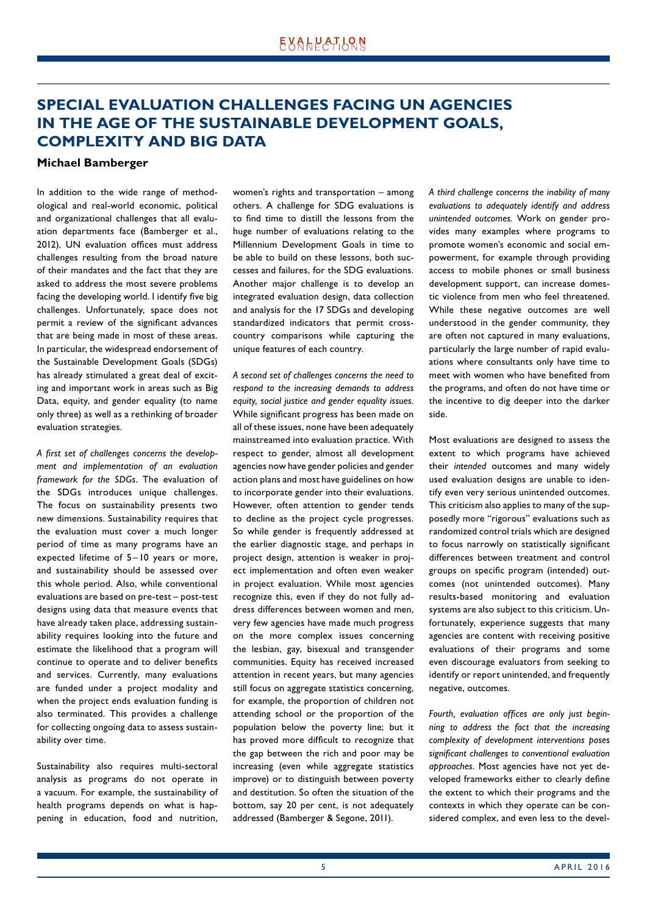### <span id="page-4-0"></span>**SPECIAL EVALUATION CHALLENGES FACING UN AGENCIES IN THE AGE OF THE SUSTAINABLE DEVELOPMENT GOALS, COMPLEXITY AND BIG DATA**

#### **Michael Bamberger**

In addition to the wide range of methodological and real-world economic, political and organizational challenges that all evaluation departments face (Bamberger et al., 2012), UN evaluation offices must address challenges resulting from the broad nature of their mandates and the fact that they are asked to address the most severe problems facing the developing world. I identify five big challenges. Unfortunately, space does not permit a review of the significant advances that are being made in most of these areas. In particular, the widespread endorsement of the Sustainable Development Goals (SDGs) has already stimulated a great deal of exciting and important work in areas such as Big Data, equity, and gender equality (to name only three) as well as a rethinking of broader evaluation strategies.

*A first set of challenges concerns the development and implementation of an evaluation framework for the SDGs*. The evaluation of the SDGs introduces unique challenges. The focus on sustainability presents two new dimensions. Sustainability requires that the evaluation must cover a much longer period of time as many programs have an expected lifetime of 5 – 10 years or more, and sustainability should be assessed over this whole period. Also, while conventional evaluations are based on pre-test – post-test designs using data that measure events that have already taken place, addressing sustainability requires looking into the future and estimate the likelihood that a program will continue to operate and to deliver benefits and services. Currently, many evaluations are funded under a project modality and when the project ends evaluation funding is also terminated. This provides a challenge for collecting ongoing data to assess sustainability over time.

Sustainability also requires multi-sectoral analysis as programs do not operate in a vacuum. For example, the sustainability of health programs depends on what is happening in education, food and nutrition, women's rights and transportation – among others. A challenge for SDG evaluations is to find time to distill the lessons from the huge number of evaluations relating to the Millennium Development Goals in time to be able to build on these lessons, both successes and failures, for the SDG evaluations. Another major challenge is to develop an integrated evaluation design, data collection and analysis for the 17 SDGs and developing standardized indicators that permit crosscountry comparisons while capturing the unique features of each country.

*A second set of challenges concerns the need to respond to the increasing demands to address equity, social justice and gender equality issues.*  While significant progress has been made on all of these issues, none have been adequately mainstreamed into evaluation practice. With respect to gender, almost all development agencies now have gender policies and gender action plans and most have guidelines on how to incorporate gender into their evaluations. However, often attention to gender tends to decline as the project cycle progresses. So while gender is frequently addressed at the earlier diagnostic stage, and perhaps in project design, attention is weaker in project implementation and often even weaker in project evaluation. While most agencies recognize this, even if they do not fully address differences between women and men, very few agencies have made much progress on the more complex issues concerning the lesbian, gay, bisexual and transgender communities. Equity has received increased attention in recent years, but many agencies still focus on aggregate statistics concerning, for example, the proportion of children not attending school or the proportion of the population below the poverty line; but it has proved more difficult to recognize that the gap between the rich and poor may be increasing (even while aggregate statistics improve) or to distinguish between poverty and destitution. So often the situation of the bottom, say 20 per cent, is not adequately addressed (Bamberger & Segone, 2011).

*A third challenge concerns the inability of many evaluations to adequately identify and address unintended outcomes.* Work on gender provides many examples where programs to promote women's economic and social empowerment, for example through providing access to mobile phones or small business development support, can increase domestic violence from men who feel threatened. While these negative outcomes are well understood in the gender community, they are often not captured in many evaluations, particularly the large number of rapid evaluations where consultants only have time to meet with women who have benefited from the programs, and often do not have time or the incentive to dig deeper into the darker side.

Most evaluations are designed to assess the extent to which programs have achieved their *intended* outcomes and many widely used evaluation designs are unable to identify even very serious unintended outcomes. This criticism also applies to many of the supposedly more "rigorous" evaluations such as randomized control trials which are designed to focus narrowly on statistically significant differences between treatment and control groups on specific program (intended) outcomes (not unintended outcomes). Many results-based monitoring and evaluation systems are also subject to this criticism. Unfortunately, experience suggests that many agencies are content with receiving positive evaluations of their programs and some even discourage evaluators from seeking to identify or report unintended, and frequently negative, outcomes.

*Fourth, evaluation offices are only just beginning to address the fact that the increasing complexity of development interventions poses significant challenges to conventional evaluation approaches.* Most agencies have not yet developed frameworks either to clearly define the extent to which their programs and the contexts in which they operate can be considered complex, and even less to the devel-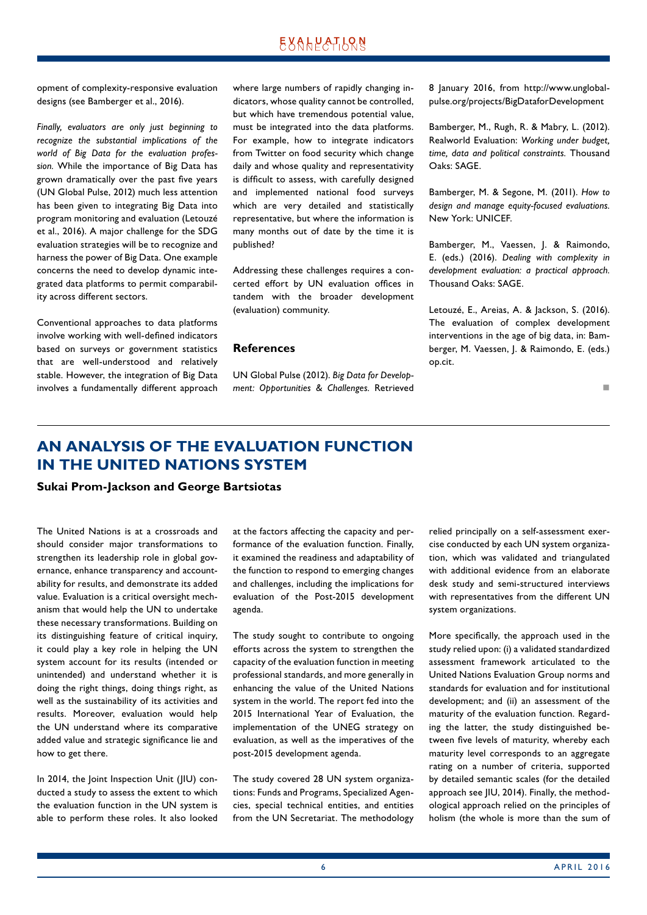<span id="page-5-0"></span>opment of complexity-responsive evaluation designs (see Bamberger et al., 2016).

*Finally, evaluators are only just beginning to recognize the substantial implications of the world of Big Data for the evaluation profession.* While the importance of Big Data has grown dramatically over the past five years (UN Global Pulse, 2012) much less attention has been given to integrating Big Data into program monitoring and evaluation (Letouzé et al., 2016). A major challenge for the SDG evaluation strategies will be to recognize and harness the power of Big Data. One example concerns the need to develop dynamic integrated data platforms to permit comparability across different sectors.

Conventional approaches to data platforms involve working with well-defined indicators based on surveys or government statistics that are well-understood and relatively stable. However, the integration of Big Data involves a fundamentally different approach where large numbers of rapidly changing indicators, whose quality cannot be controlled, but which have tremendous potential value, must be integrated into the data platforms. For example, how to integrate indicators from Twitter on food security which change daily and whose quality and representativity is difficult to assess, with carefully designed and implemented national food surveys which are very detailed and statistically representative, but where the information is many months out of date by the time it is published?

Addressing these challenges requires a concerted effort by UN evaluation offices in tandem with the broader development (evaluation) community.

#### **References**

UN Global Pulse (2012). *Big Data for Development: Opportunities & Challenges.* Retrieved 8 January 2016, from http://www.unglobalpulse.org/projects/BigDataforDevelopment

Bamberger, M., Rugh, R. & Mabry, L. (2012). Realworld Evaluation: *Working under budget, time, data and political constraints.* Thousand Oaks: SAGE.

Bamberger, M. & Segone, M. (2011). *How to design and manage equity-focused evaluations.* New York: UNICEF.

Bamberger, M., Vaessen, J. & Raimondo, E. (eds.) (2016). *Dealing with complexity in development evaluation: a practical approach.*  Thousand Oaks: SAGE.

Letouzé, E., Areias, A. & Jackson, S. (2016). The evaluation of complex development interventions in the age of big data, in: Bamberger, M. Vaessen, J. & Raimondo, E. (eds.) op.cit.

n

### **AN ANALYSIS OF THE EVALUATION FUNCTION IN THE UNITED NATIONS SYSTEM**

#### **Sukai Prom-Jackson and George Bartsiotas**

The United Nations is at a crossroads and should consider major transformations to strengthen its leadership role in global governance, enhance transparency and accountability for results, and demonstrate its added value. Evaluation is a critical oversight mechanism that would help the UN to undertake these necessary transformations. Building on its distinguishing feature of critical inquiry, it could play a key role in helping the UN system account for its results (intended or unintended) and understand whether it is doing the right things, doing things right, as well as the sustainability of its activities and results. Moreover, evaluation would help the UN understand where its comparative added value and strategic significance lie and how to get there.

In 2014, the Joint Inspection Unit (JIU) conducted a study to assess the extent to which the evaluation function in the UN system is able to perform these roles. It also looked at the factors affecting the capacity and performance of the evaluation function. Finally, it examined the readiness and adaptability of the function to respond to emerging changes and challenges, including the implications for evaluation of the Post-2015 development agenda.

The study sought to contribute to ongoing efforts across the system to strengthen the capacity of the evaluation function in meeting professional standards, and more generally in enhancing the value of the United Nations system in the world. The report fed into the 2015 International Year of Evaluation, the implementation of the UNEG strategy on evaluation, as well as the imperatives of the post-2015 development agenda.

The study covered 28 UN system organizations: Funds and Programs, Specialized Agencies, special technical entities, and entities from the UN Secretariat. The methodology relied principally on a self-assessment exercise conducted by each UN system organization, which was validated and triangulated with additional evidence from an elaborate desk study and semi-structured interviews with representatives from the different UN system organizations.

More specifically, the approach used in the study relied upon: (i) a validated standardized assessment framework articulated to the United Nations Evaluation Group norms and standards for evaluation and for institutional development; and (ii) an assessment of the maturity of the evaluation function. Regarding the latter, the study distinguished between five levels of maturity, whereby each maturity level corresponds to an aggregate rating on a number of criteria, supported by detailed semantic scales (for the detailed approach see JIU, 2014). Finally, the methodological approach relied on the principles of holism (the whole is more than the sum of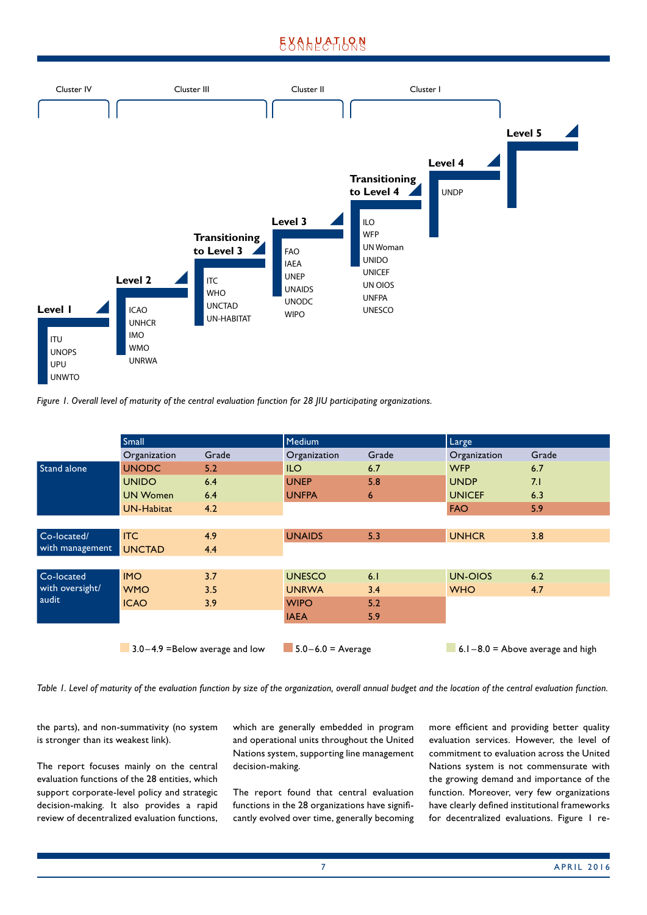### **EXALPATION**





|                    | Small                              |       | Medium                |       | Large                                |       |
|--------------------|------------------------------------|-------|-----------------------|-------|--------------------------------------|-------|
|                    | Organization                       | Grade | Organization          | Grade | Organization                         | Grade |
| <b>Stand alone</b> | <b>UNODC</b>                       | 5.2   | <b>ILO</b>            | 6.7   | <b>WFP</b>                           | 6.7   |
|                    | <b>UNIDO</b>                       | 6.4   | <b>UNEP</b>           | 5.8   | <b>UNDP</b>                          | 7.1   |
|                    | <b>UN Women</b>                    | 6.4   | <b>UNFPA</b>          | 6     | <b>UNICEF</b>                        | 6.3   |
|                    | <b>UN-Habitat</b>                  | 4.2   |                       |       | <b>FAO</b>                           | 5.9   |
|                    |                                    |       |                       |       |                                      |       |
| Co-located/        | <b>ITC</b>                         | 4.9   | <b>UNAIDS</b>         | 5.3   | <b>UNHCR</b>                         | 3.8   |
| with management    | <b>UNCTAD</b>                      | 4.4   |                       |       |                                      |       |
|                    |                                    |       |                       |       |                                      |       |
| Co-located         | <b>IMO</b>                         | 3.7   | <b>UNESCO</b>         | 6.1   | UN-OIOS                              | 6.2   |
| with oversight/    | <b>WMO</b>                         | 3.5   | <b>UNRWA</b>          | 3.4   | <b>WHO</b>                           | 4.7   |
| audit              | <b>ICAO</b>                        | 3.9   | <b>WIPO</b>           | 5.2   |                                      |       |
|                    |                                    |       | <b>IAEA</b>           | 5.9   |                                      |       |
|                    |                                    |       |                       |       |                                      |       |
|                    | $3.0 - 4.9$ =Below average and low |       | $5.0 - 6.0 = Average$ |       | $6.1 - 8.0 =$ Above average and high |       |

*Table 1. Level of maturity of the evaluation function by size of the organization, overall annual budget and the location of the central evaluation function.*

the parts), and non-summativity (no system is stronger than its weakest link).

The report focuses mainly on the central evaluation functions of the 28 entities, which support corporate-level policy and strategic decision-making. It also provides a rapid review of decentralized evaluation functions, which are generally embedded in program and operational units throughout the United Nations system, supporting line management decision-making.

The report found that central evaluation functions in the 28 organizations have significantly evolved over time, generally becoming more efficient and providing better quality evaluation services. However, the level of commitment to evaluation across the United Nations system is not commensurate with the growing demand and importance of the function. Moreover, very few organizations have clearly defined institutional frameworks for decentralized evaluations. Figure 1 re-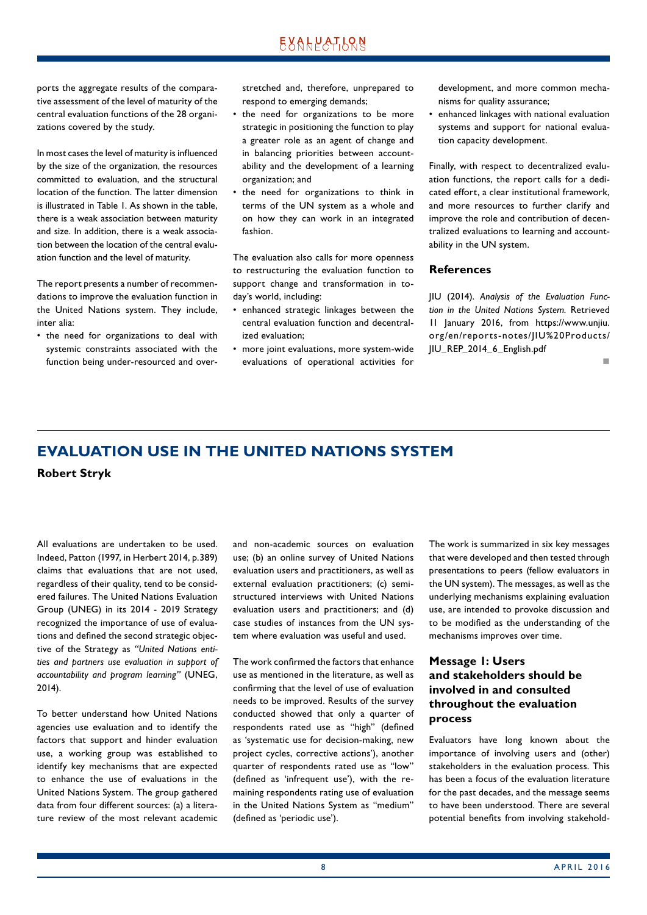<span id="page-7-0"></span>ports the aggregate results of the comparative assessment of the level of maturity of the central evaluation functions of the 28 organizations covered by the study.

In most cases the level of maturity is influenced by the size of the organization, the resources committed to evaluation, and the structural location of the function. The latter dimension is illustrated in Table 1. As shown in the table, there is a weak association between maturity and size. In addition, there is a weak association between the location of the central evaluation function and the level of maturity.

The report presents a number of recommendations to improve the evaluation function in the United Nations system. They include, inter alia:

• the need for organizations to deal with systemic constraints associated with the function being under-resourced and overstretched and, therefore, unprepared to respond to emerging demands;

- the need for organizations to be more strategic in positioning the function to play a greater role as an agent of change and in balancing priorities between accountability and the development of a learning organization; and
- the need for organizations to think in terms of the UN system as a whole and on how they can work in an integrated fashion.

The evaluation also calls for more openness to restructuring the evaluation function to support change and transformation in today's world, including:

- enhanced strategic linkages between the central evaluation function and decentralized evaluation;
- more joint evaluations, more system-wide evaluations of operational activities for

development, and more common mechanisms for quality assurance;

• enhanced linkages with national evaluation systems and support for national evaluation capacity development.

Finally, with respect to decentralized evaluation functions, the report calls for a dedicated effort, a clear institutional framework, and more resources to further clarify and improve the role and contribution of decentralized evaluations to learning and accountability in the UN system.

#### **References**

JIU (2014). *Analysis of the Evaluation Function in the United Nations System.* Retrieved 11 January 2016, from https://www.unjiu. org/en/reports-notes/JIU%20Products/ JIU\_REP\_2014\_6\_English.pdf

n

### **EVALUATION USE IN THE UNITED NATIONS SYSTEM**

**Robert Stryk**

All evaluations are undertaken to be used. Indeed, Patton (1997, in Herbert 2014, p.389) claims that evaluations that are not used, regardless of their quality, tend to be considered failures. The United Nations Evaluation Group (UNEG) in its 2014 - 2019 Strategy recognized the importance of use of evaluations and defined the second strategic objective of the Strategy as *"United Nations entities and partners use evaluation in support of accountability and program learning"* (UNEG, 2014).

To better understand how United Nations agencies use evaluation and to identify the factors that support and hinder evaluation use, a working group was established to identify key mechanisms that are expected to enhance the use of evaluations in the United Nations System. The group gathered data from four different sources: (a) a literature review of the most relevant academic and non-academic sources on evaluation use; (b) an online survey of United Nations evaluation users and practitioners, as well as external evaluation practitioners; (c) semistructured interviews with United Nations evaluation users and practitioners; and (d) case studies of instances from the UN system where evaluation was useful and used.

The work confirmed the factors that enhance use as mentioned in the literature, as well as confirming that the level of use of evaluation needs to be improved. Results of the survey conducted showed that only a quarter of respondents rated use as "high" (defined as 'systematic use for decision-making, new project cycles, corrective actions'), another quarter of respondents rated use as "low" (defined as 'infrequent use'), with the remaining respondents rating use of evaluation in the United Nations System as "medium" (defined as 'periodic use').

The work is summarized in six key messages that were developed and then tested through presentations to peers (fellow evaluators in the UN system). The messages, as well as the underlying mechanisms explaining evaluation use, are intended to provoke discussion and to be modified as the understanding of the mechanisms improves over time.

### **Message 1: Users and stakeholders should be involved in and consulted throughout the evaluation process**

Evaluators have long known about the importance of involving users and (other) stakeholders in the evaluation process. This has been a focus of the evaluation literature for the past decades, and the message seems to have been understood. There are several potential benefits from involving stakehold-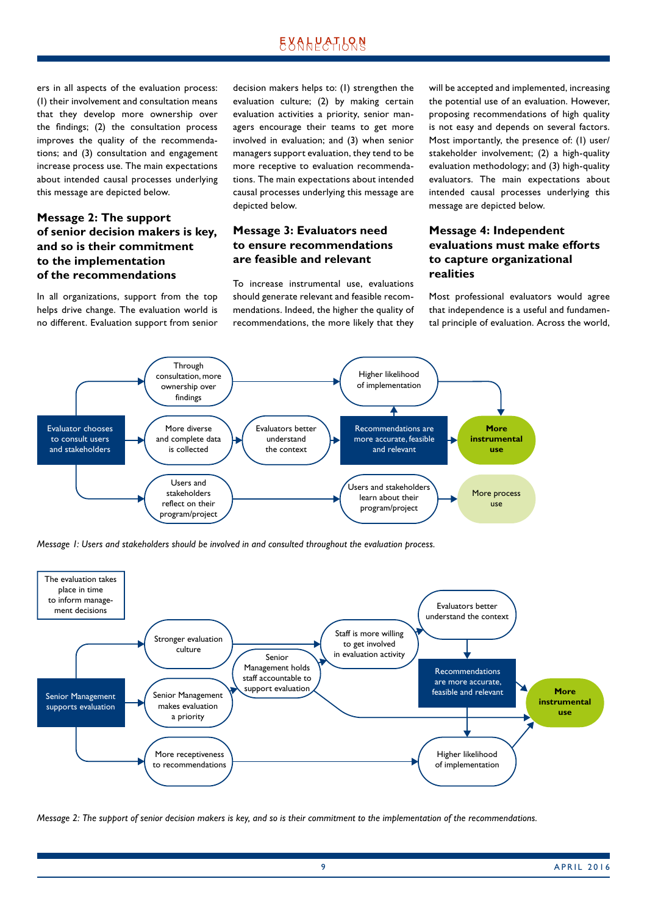ers in all aspects of the evaluation process: (1) their involvement and consultation means that they develop more ownership over the findings; (2) the consultation process improves the quality of the recommendations; and (3) consultation and engagement increase process use. The main expectations about intended causal processes underlying this message are depicted below.

### **Message 2: The support of senior decision makers is key, and so is their commitment to the implementation of the recommendations**

In all organizations, support from the top helps drive change. The evaluation world is no different. Evaluation support from senior decision makers helps to: (1) strengthen the evaluation culture; (2) by making certain evaluation activities a priority, senior managers encourage their teams to get more involved in evaluation; and (3) when senior managers support evaluation, they tend to be more receptive to evaluation recommendations. The main expectations about intended causal processes underlying this message are depicted below.

### **Message 3: Evaluators need to ensure recommendations are feasible and relevant**

To increase instrumental use, evaluations should generate relevant and feasible recommendations. Indeed, the higher the quality of recommendations, the more likely that they will be accepted and implemented, increasing the potential use of an evaluation. However, proposing recommendations of high quality is not easy and depends on several factors. Most importantly, the presence of: (1) user/ stakeholder involvement; (2) a high-quality evaluation methodology; and (3) high-quality evaluators. The main expectations about intended causal processes underlying this message are depicted below.

### **Message 4: Independent evaluations must make efforts to capture organizational realities**

Most professional evaluators would agree that independence is a useful and fundamental principle of evaluation. Across the world,



*Message 1: Users and stakeholders should be involved in and consulted throughout the evaluation process.*



*Message 2: The support of senior decision makers is key, and so is their commitment to the implementation of the recommendations.*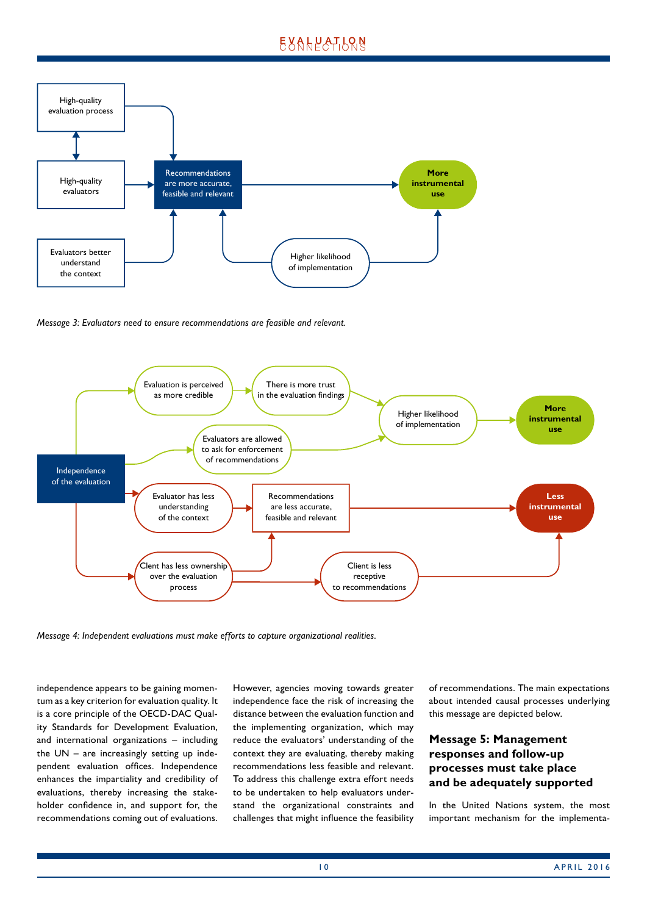

*Message 3: Evaluators need to ensure recommendations are feasible and relevant.*



*Message 4: Independent evaluations must make efforts to capture organizational realities.*

independence appears to be gaining momentum as a key criterion for evaluation quality. It is a core principle of the OECD-DAC Quality Standards for Development Evaluation, and international organizations – including the UN – are increasingly setting up independent evaluation offices. Independence enhances the impartiality and credibility of evaluations, thereby increasing the stakeholder confidence in, and support for, the recommendations coming out of evaluations. However, agencies moving towards greater independence face the risk of increasing the distance between the evaluation function and the implementing organization, which may reduce the evaluators' understanding of the context they are evaluating, thereby making recommendations less feasible and relevant. To address this challenge extra effort needs to be undertaken to help evaluators understand the organizational constraints and challenges that might influence the feasibility

of recommendations. The main expectations about intended causal processes underlying this message are depicted below.

### **Message 5: Management responses and follow-up processes must take place and be adequately supported**

In the United Nations system, the most important mechanism for the implementa-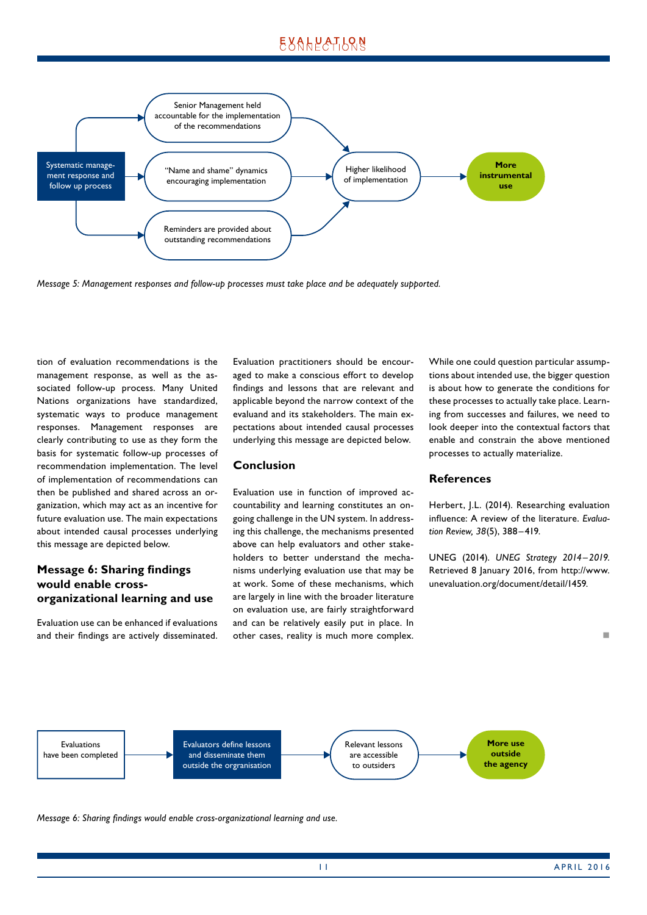

*Message 5: Management responses and follow-up processes must take place and be adequately supported.*

tion of evaluation recommendations is the management response, as well as the associated follow-up process. Many United Nations organizations have standardized, systematic ways to produce management responses. Management responses are clearly contributing to use as they form the basis for systematic follow-up processes of recommendation implementation. The level of implementation of recommendations can then be published and shared across an organization, which may act as an incentive for future evaluation use. The main expectations about intended causal processes underlying this message are depicted below.

### **Message 6: Sharing findings would enable crossorganizational learning and use**

Evaluation use can be enhanced if evaluations and their findings are actively disseminated. Evaluation practitioners should be encouraged to make a conscious effort to develop findings and lessons that are relevant and applicable beyond the narrow context of the evaluand and its stakeholders. The main expectations about intended causal processes underlying this message are depicted below.

#### **Conclusion**

Evaluation use in function of improved accountability and learning constitutes an ongoing challenge in the UN system. In addressing this challenge, the mechanisms presented above can help evaluators and other stakeholders to better understand the mechanisms underlying evaluation use that may be at work. Some of these mechanisms, which are largely in line with the broader literature on evaluation use, are fairly straightforward and can be relatively easily put in place. In other cases, reality is much more complex.

While one could question particular assumptions about intended use, the bigger question is about how to generate the conditions for these processes to actually take place. Learning from successes and failures, we need to look deeper into the contextual factors that enable and constrain the above mentioned processes to actually materialize.

#### **References**

Herbert, J.L. (2014). Researching evaluation influence: A review of the literature. *Evaluation Review, 38*(5), 388–419.

UNEG (2014). *UNEG Strategy 2014–2019*. Retrieved 8 January 2016, from http://www. unevaluation.org/document/detail/1459.



*Message 6: Sharing findings would enable cross-organizational learning and use.*

1 1 APRIL 2016

n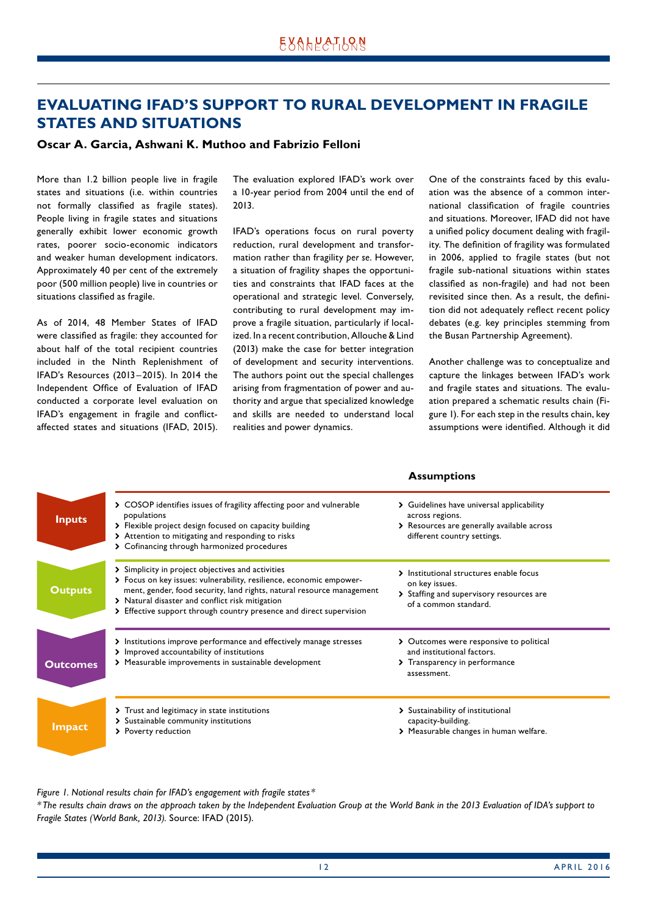### <span id="page-11-0"></span>**EVALUATING IFAD'S SUPPORT TO RURAL DEVELOPMENT IN FRAGILE STATES AND SITUATIONS**

#### **Oscar A. Garcia, Ashwani K. Muthoo and Fabrizio Felloni**

More than 1.2 billion people live in fragile states and situations (i.e. within countries not formally classified as fragile states). People living in fragile states and situations generally exhibit lower economic growth rates, poorer socio-economic indicators and weaker human development indicators. Approximately 40 per cent of the extremely poor (500 million people) live in countries or situations classified as fragile.

As of 2014, 48 Member States of IFAD were classified as fragile: they accounted for about half of the total recipient countries included in the Ninth Replenishment of IFAD's Resources (2013–2015). In 2014 the Independent Office of Evaluation of IFAD conducted a corporate level evaluation on IFAD's engagement in fragile and conflictaffected states and situations (IFAD, 2015). The evaluation explored IFAD's work over a 10-year period from 2004 until the end of 2013.

IFAD's operations focus on rural poverty reduction, rural development and transformation rather than fragility *per se*. However, a situation of fragility shapes the opportunities and constraints that IFAD faces at the operational and strategic level. Conversely, contributing to rural development may improve a fragile situation, particularly if localized. In a recent contribution, Allouche & Lind (2013) make the case for better integration of development and security interventions. The authors point out the special challenges arising from fragmentation of power and authority and argue that specialized knowledge and skills are needed to understand local realities and power dynamics.

One of the constraints faced by this evaluation was the absence of a common international classification of fragile countries and situations. Moreover, IFAD did not have a unified policy document dealing with fragility. The definition of fragility was formulated in 2006, applied to fragile states (but not fragile sub-national situations within states classified as non-fragile) and had not been revisited since then. As a result, the definition did not adequately reflect recent policy debates (e.g. key principles stemming from the Busan Partnership Agreement).

Another challenge was to conceptualize and capture the linkages between IFAD's work and fragile states and situations. The evaluation prepared a schematic results chain (Figure 1). For each step in the results chain, key assumptions were identified. Although it did

**Assumptions**

| <b>Inputs</b>   | > COSOP identifies issues of fragility affecting poor and vulnerable<br>populations<br>> Flexible project design focused on capacity building<br>> Attention to mitigating and responding to risks<br>> Cofinancing through harmonized procedures                                                                           | Guidelines have universal applicability<br>≻<br>across regions.<br>> Resources are generally available across<br>different country settings. |
|-----------------|-----------------------------------------------------------------------------------------------------------------------------------------------------------------------------------------------------------------------------------------------------------------------------------------------------------------------------|----------------------------------------------------------------------------------------------------------------------------------------------|
| <b>Outputs</b>  | > Simplicity in project objectives and activities<br>> Focus on key issues: vulnerability, resilience, economic empower-<br>ment, gender, food security, land rights, natural resource management<br>> Natural disaster and conflict risk mitigation<br>> Effective support through country presence and direct supervision | > Institutional structures enable focus<br>on key issues.<br>> Staffing and supervisory resources are<br>of a common standard.               |
| <b>Outcomes</b> | > Institutions improve performance and effectively manage stresses<br>> Improved accountability of institutions<br>> Measurable improvements in sustainable development                                                                                                                                                     | > Outcomes were responsive to political<br>and institutional factors.<br>> Transparency in performance<br>assessment.                        |
| <b>Impact</b>   | > Trust and legitimacy in state institutions<br>> Sustainable community institutions<br>> Poverty reduction                                                                                                                                                                                                                 | > Sustainability of institutional<br>capacity-building.<br>> Measurable changes in human welfare.                                            |

*Figure 1. Notional results chain for IFAD's engagement with fragile states \**

*\*The results chain draws on the approach taken by the Independent Evaluation Group at the World Bank in the 2013 Evaluation of IDA's support to Fragile States (World Bank, 2013).* Source: IFAD (2015).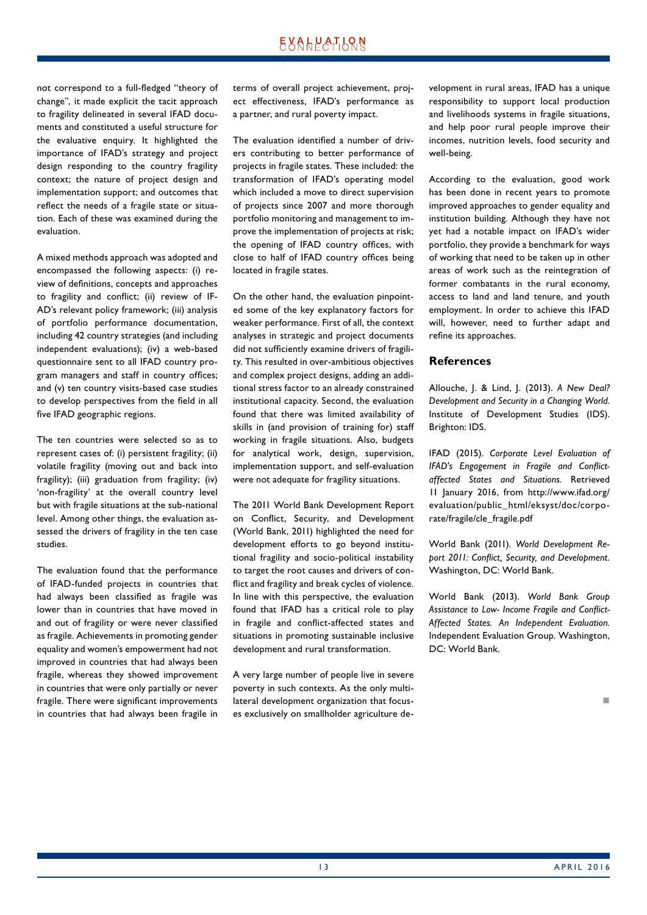not correspond to a full-fledged "theory of change", it made explicit the tacit approach to fragility delineated in several IFAD documents and constituted a useful structure for the evaluative enquiry. It highlighted the importance of IFAD's strategy and project design responding to the country fragility context; the nature of project design and implementation support; and outcomes that reflect the needs of a fragile state or situation. Each of these was examined during the evaluation.

A mixed methods approach was adopted and encompassed the following aspects: (i) review of definitions, concepts and approaches to fragility and conflict; (ii) review of IF-AD's relevant policy framework; (iii) analysis of portfolio performance documentation, including 42 country strategies (and including independent evaluations); (iv) a web-based questionnaire sent to all IFAD country program managers and staff in country offices; and (v) ten country visits-based case studies to develop perspectives from the field in all five IFAD geographic regions.

The ten countries were selected so as to represent cases of: (i) persistent fragility; (ii) volatile fragility (moving out and back into fragility); (iii) graduation from fragility; (iv) 'non-fragility' at the overall country level but with fragile situations at the sub-national level. Among other things, the evaluation assessed the drivers of fragility in the ten case studies.

The evaluation found that the performance of IFAD-funded projects in countries that had always been classified as fragile was lower than in countries that have moved in and out of fragility or were never classified as fragile. Achievements in promoting gender equality and women's empowerment had not improved in countries that had always been fragile, whereas they showed improvement in countries that were only partially or never fragile. There were significant improvements in countries that had always been fragile in

terms of overall project achievement, project effectiveness, IFAD's performance as a partner, and rural poverty impact.

The evaluation identified a number of drivers contributing to better performance of projects in fragile states. These included: the transformation of IFAD's operating model which included a move to direct supervision of projects since 2007 and more thorough portfolio monitoring and management to improve the implementation of projects at risk; the opening of IFAD country offices, with close to half of IFAD country offices being located in fragile states.

On the other hand, the evaluation pinpointed some of the key explanatory factors for weaker performance. First of all, the context analyses in strategic and project documents did not sufficiently examine drivers of fragility. This resulted in over-ambitious objectives and complex project designs, adding an additional stress factor to an already constrained institutional capacity. Second, the evaluation found that there was limited availability of skills in (and provision of training for) staff working in fragile situations. Also, budgets for analytical work, design, supervision, implementation support, and self-evaluation were not adequate for fragility situations.

The 2011 World Bank Development Report on Conflict, Security, and Development (World Bank, 2011) highlighted the need for development efforts to go beyond institutional fragility and socio-political instability to target the root causes and drivers of conflict and fragility and break cycles of violence. In line with this perspective, the evaluation found that IFAD has a critical role to play in fragile and conflict-affected states and situations in promoting sustainable inclusive development and rural transformation.

A very large number of people live in severe poverty in such contexts. As the only multilateral development organization that focuses exclusively on smallholder agriculture development in rural areas, IFAD has a unique responsibility to support local production and livelihoods systems in fragile situations, and help poor rural people improve their incomes, nutrition levels, food security and well-being.

According to the evaluation, good work has been done in recent years to promote improved approaches to gender equality and institution building. Although they have not yet had a notable impact on IFAD's wider portfolio, they provide a benchmark for ways of working that need to be taken up in other areas of work such as the reintegration of former combatants in the rural economy, access to land and land tenure, and youth employment. In order to achieve this IFAD will, however, need to further adapt and refine its approaches.

#### **References**

Allouche, J. & Lind, J. (2013). *A New Deal? Development and Security in a Changing World.* Institute of Development Studies (IDS). Brighton: IDS.

IFAD (2015). *Corporate Level Evaluation of IFAD's Engagement in Fragile and Conflictaffected States and Situations.* Retrieved 11 January 2016, from http://www.ifad.org/ evaluation/public\_html/eksyst/doc/corporate/fragile/cle\_fragile.pdf

World Bank (2011). *World Development Report 2011: Conflict, Security, and Development.*  Washington, DC: World Bank.

World Bank (2013). *World Bank Group Assistance to Low- Income Fragile and Conflict-Affected States. An Independent Evaluation.* Independent Evaluation Group. Washington, DC: World Bank.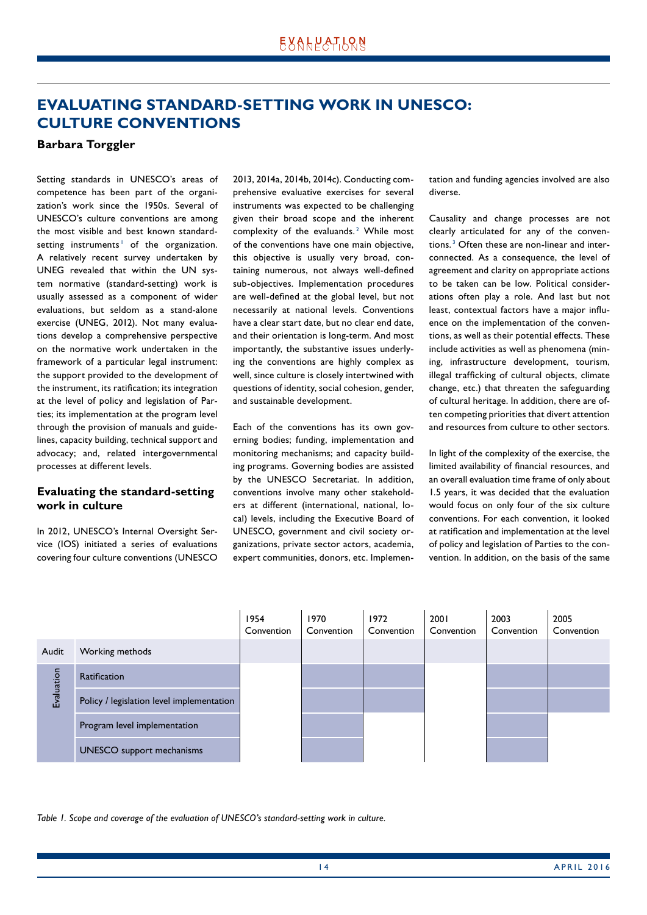### <span id="page-13-0"></span>**EVALUATING STANDARD-SETTING WORK IN UNESCO: CULTURE CONVENTIONS**

#### **Barbara Torggler**

Setting standards in UNESCO's areas of competence has been part of the organization's work since the 1950s. Several of UNESCO's culture conventions are among the most visible and best known standardsetting instruments<sup>1</sup> of the organization. A relatively recent survey undertaken by UNEG revealed that within the UN system normative (standard-setting) work is usually assessed as a component of wider evaluations, but seldom as a stand-alone exercise (UNEG, 2012). Not many evaluations develop a comprehensive perspective on the normative work undertaken in the framework of a particular legal instrument: the support provided to the development of the instrument, its ratification; its integration at the level of policy and legislation of Parties; its implementation at the program level through the provision of manuals and guidelines, capacity building, technical support and advocacy; and, related intergovernmental processes at different levels.

### **Evaluating the standard-setting work in culture**

In 2012, UNESCO's Internal Oversight Service (IOS) initiated a series of evaluations covering four culture conventions (UNESCO 2013, 2014a, 2014b, 2014c). Conducting comprehensive evaluative exercises for several instruments was expected to be challenging given their broad scope and the inherent complexity of the evaluands.<sup>2</sup> While most of the conventions have one main objective, this objective is usually very broad, containing numerous, not always well-defined sub-objectives. Implementation procedures are well-defined at the global level, but not necessarily at national levels. Conventions have a clear start date, but no clear end date, and their orientation is long-term. And most importantly, the substantive issues underlying the conventions are highly complex as well, since culture is closely intertwined with questions of identity, social cohesion, gender, and sustainable development.

Each of the conventions has its own governing bodies; funding, implementation and monitoring mechanisms; and capacity building programs. Governing bodies are assisted by the UNESCO Secretariat. In addition, conventions involve many other stakeholders at different (international, national, local) levels, including the Executive Board of UNESCO, government and civil society organizations, private sector actors, academia, expert communities, donors, etc. Implementation and funding agencies involved are also diverse.

Causality and change processes are not clearly articulated for any of the conventions. <sup>3</sup> Often these are non-linear and interconnected. As a consequence, the level of agreement and clarity on appropriate actions to be taken can be low. Political considerations often play a role. And last but not least, contextual factors have a major influence on the implementation of the conventions, as well as their potential effects. These include activities as well as phenomena (mining, infrastructure development, tourism, illegal trafficking of cultural objects, climate change, etc.) that threaten the safeguarding of cultural heritage. In addition, there are often competing priorities that divert attention and resources from culture to other sectors.

In light of the complexity of the exercise, the limited availability of financial resources, and an overall evaluation time frame of only about 1.5 years, it was decided that the evaluation would focus on only four of the six culture conventions. For each convention, it looked at ratification and implementation at the level of policy and legislation of Parties to the convention. In addition, on the basis of the same



*Table 1. Scope and coverage of the evaluation of UNESCO's standard-setting work in culture.*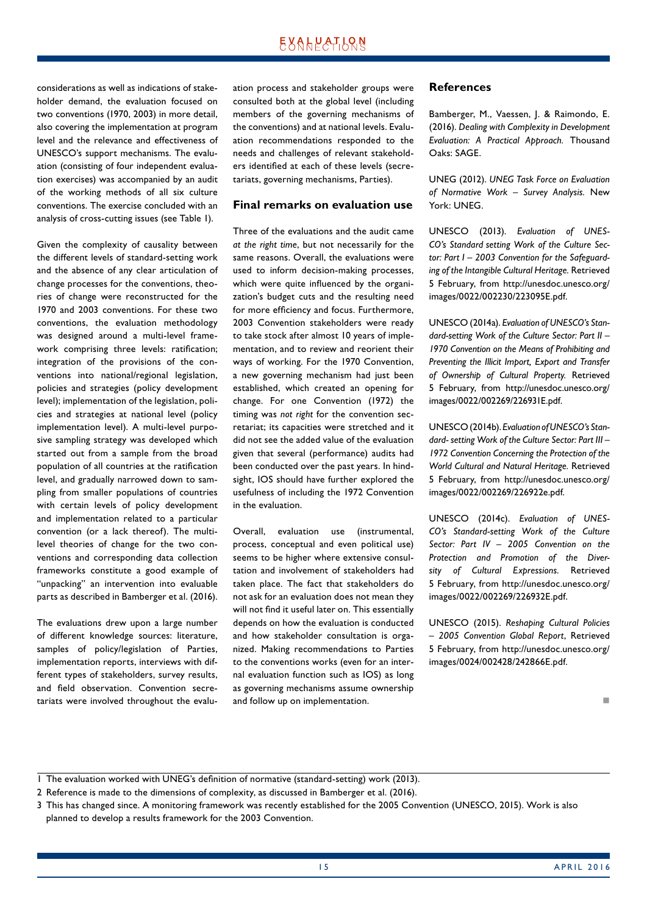considerations as well as indications of stakeholder demand, the evaluation focused on two conventions (1970, 2003) in more detail, also covering the implementation at program level and the relevance and effectiveness of UNESCO's support mechanisms. The evaluation (consisting of four independent evaluation exercises) was accompanied by an audit of the working methods of all six culture conventions. The exercise concluded with an analysis of cross-cutting issues (see Table 1).

Given the complexity of causality between the different levels of standard-setting work and the absence of any clear articulation of change processes for the conventions, theories of change were reconstructed for the 1970 and 2003 conventions. For these two conventions, the evaluation methodology was designed around a multi-level framework comprising three levels: ratification; integration of the provisions of the conventions into national/regional legislation, policies and strategies (policy development level); implementation of the legislation, policies and strategies at national level (policy implementation level). A multi-level purposive sampling strategy was developed which started out from a sample from the broad population of all countries at the ratification level, and gradually narrowed down to sampling from smaller populations of countries with certain levels of policy development and implementation related to a particular convention (or a lack thereof). The multilevel theories of change for the two conventions and corresponding data collection frameworks constitute a good example of "unpacking" an intervention into evaluable parts as described in Bamberger et al. (2016).

The evaluations drew upon a large number of different knowledge sources: literature, samples of policy/legislation of Parties, implementation reports, interviews with different types of stakeholders, survey results, and field observation. Convention secretariats were involved throughout the evaluation process and stakeholder groups were consulted both at the global level (including members of the governing mechanisms of the conventions) and at national levels. Evaluation recommendations responded to the needs and challenges of relevant stakeholders identified at each of these levels (secretariats, governing mechanisms, Parties).

#### **Final remarks on evaluation use**

Three of the evaluations and the audit came *at the right time*, but not necessarily for the same reasons. Overall, the evaluations were used to inform decision-making processes, which were quite influenced by the organization's budget cuts and the resulting need for more efficiency and focus. Furthermore, 2003 Convention stakeholders were ready to take stock after almost 10 years of implementation, and to review and reorient their ways of working. For the 1970 Convention, a new governing mechanism had just been established, which created an opening for change. For one Convention (1972) the timing was *not right* for the convention secretariat; its capacities were stretched and it did not see the added value of the evaluation given that several (performance) audits had been conducted over the past years. In hindsight, IOS should have further explored the usefulness of including the 1972 Convention in the evaluation.

Overall, evaluation use (instrumental, process, conceptual and even political use) seems to be higher where extensive consultation and involvement of stakeholders had taken place. The fact that stakeholders do not ask for an evaluation does not mean they will not find it useful later on. This essentially depends on how the evaluation is conducted and how stakeholder consultation is organized. Making recommendations to Parties to the conventions works (even for an internal evaluation function such as IOS) as long as governing mechanisms assume ownership and follow up on implementation.

#### **References**

Bamberger, M., Vaessen, J. & Raimondo, E. (2016). *Dealing with Complexity in Development Evaluation: A Practical Approach.* Thousand Oaks: SAGE.

UNEG (2012). *UNEG Task Force on Evaluation of Normative Work – Survey Analysis.* New York: UNEG.

UNESCO (2013). *Evaluation of UNES-CO's Standard setting Work of the Culture Sector: Part I – 2003 Convention for the Safeguarding of the Intangible Cultural Heritage.* Retrieved 5 February, from http://unesdoc.unesco.org/ images/0022/002230/223095E.pdf.

UNESCO (2014a). *Evaluation of UNESCO's Standard-setting Work of the Culture Sector: Part II – 1970 Convention on the Means of Prohibiting and Preventing the Illicit Import, Export and Transfer of Ownership of Cultural Property.* Retrieved 5 February, from http://unesdoc.unesco.org/ images/0022/002269/226931E.pdf.

UNESCO (2014b). *Evaluation of UNESCO's Standard- setting Work of the Culture Sector: Part III – 1972 Convention Concerning the Protection of the World Cultural and Natural Heritage.* Retrieved 5 February, from http://unesdoc.unesco.org/ images/0022/002269/226922e.pdf.

UNESCO (2014c). *Evaluation of UNES-CO's Standard-setting Work of the Culture Sector: Part IV – 2005 Convention on the Protection and Promotion of the Diversity of Cultural Expressions.* Retrieved 5 February, from http://unesdoc.unesco.org/ images/0022/002269/226932E.pdf.

UNESCO (2015). *Reshaping Cultural Policies – 2005 Convention Global Report*, Retrieved 5 February, from http://unesdoc.unesco.org/ images/0024/002428/242866E.pdf.

n

<sup>1</sup> The evaluation worked with UNEG's definition of normative (standard-setting) work (2013).

<sup>2</sup> Reference is made to the dimensions of complexity, as discussed in Bamberger et al. (2016).

<sup>3</sup> This has changed since. A monitoring framework was recently established for the 2005 Convention (UNESCO, 2015). Work is also planned to develop a results framework for the 2003 Convention.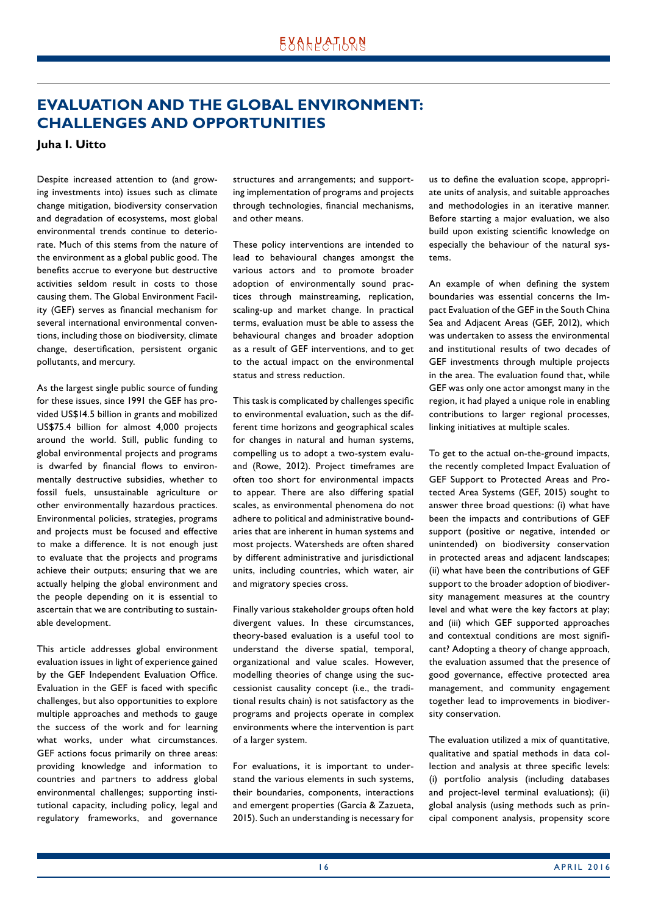### <span id="page-15-0"></span>**EVALUATION AND THE GLOBAL ENVIRONMENT: CHALLENGES AND OPPORTUNITIES**

#### **Juha I. Uitto**

Despite increased attention to (and growing investments into) issues such as climate change mitigation, biodiversity conservation and degradation of ecosystems, most global environmental trends continue to deteriorate. Much of this stems from the nature of the environment as a global public good. The benefits accrue to everyone but destructive activities seldom result in costs to those causing them. The Global Environment Facility (GEF) serves as financial mechanism for several international environmental conventions, including those on biodiversity, climate change, desertification, persistent organic pollutants, and mercury.

As the largest single public source of funding for these issues, since 1991 the GEF has provided US\$14.5 billion in grants and mobilized US\$75.4 billion for almost 4,000 projects around the world. Still, public funding to global environmental projects and programs is dwarfed by financial flows to environmentally destructive subsidies, whether to fossil fuels, unsustainable agriculture or other environmentally hazardous practices. Environmental policies, strategies, programs and projects must be focused and effective to make a difference. It is not enough just to evaluate that the projects and programs achieve their outputs; ensuring that we are actually helping the global environment and the people depending on it is essential to ascertain that we are contributing to sustainable development.

This article addresses global environment evaluation issues in light of experience gained by the GEF Independent Evaluation Office. Evaluation in the GEF is faced with specific challenges, but also opportunities to explore multiple approaches and methods to gauge the success of the work and for learning what works, under what circumstances. GEF actions focus primarily on three areas: providing knowledge and information to countries and partners to address global environmental challenges; supporting institutional capacity, including policy, legal and regulatory frameworks, and governance structures and arrangements; and supporting implementation of programs and projects through technologies, financial mechanisms, and other means.

These policy interventions are intended to lead to behavioural changes amongst the various actors and to promote broader adoption of environmentally sound practices through mainstreaming, replication, scaling-up and market change. In practical terms, evaluation must be able to assess the behavioural changes and broader adoption as a result of GEF interventions, and to get to the actual impact on the environmental status and stress reduction.

This task is complicated by challenges specific to environmental evaluation, such as the different time horizons and geographical scales for changes in natural and human systems, compelling us to adopt a two-system evaluand (Rowe, 2012). Project timeframes are often too short for environmental impacts to appear. There are also differing spatial scales, as environmental phenomena do not adhere to political and administrative boundaries that are inherent in human systems and most projects. Watersheds are often shared by different administrative and jurisdictional units, including countries, which water, air and migratory species cross.

Finally various stakeholder groups often hold divergent values. In these circumstances, theory-based evaluation is a useful tool to understand the diverse spatial, temporal, organizational and value scales. However, modelling theories of change using the successionist causality concept (i.e., the traditional results chain) is not satisfactory as the programs and projects operate in complex environments where the intervention is part of a larger system.

For evaluations, it is important to understand the various elements in such systems, their boundaries, components, interactions and emergent properties (Garcia & Zazueta, 2015). Such an understanding is necessary for us to define the evaluation scope, appropriate units of analysis, and suitable approaches and methodologies in an iterative manner. Before starting a major evaluation, we also build upon existing scientific knowledge on especially the behaviour of the natural systems.

An example of when defining the system boundaries was essential concerns the Impact Evaluation of the GEF in the South China Sea and Adjacent Areas (GEF, 2012), which was undertaken to assess the environmental and institutional results of two decades of GEF investments through multiple projects in the area. The evaluation found that, while GEF was only one actor amongst many in the region, it had played a unique role in enabling contributions to larger regional processes, linking initiatives at multiple scales.

To get to the actual on-the-ground impacts, the recently completed Impact Evaluation of GEF Support to Protected Areas and Protected Area Systems (GEF, 2015) sought to answer three broad questions: (i) what have been the impacts and contributions of GEF support (positive or negative, intended or unintended) on biodiversity conservation in protected areas and adjacent landscapes; (ii) what have been the contributions of GEF support to the broader adoption of biodiversity management measures at the country level and what were the key factors at play; and (iii) which GEF supported approaches and contextual conditions are most significant? Adopting a theory of change approach, the evaluation assumed that the presence of good governance, effective protected area management, and community engagement together lead to improvements in biodiversity conservation.

The evaluation utilized a mix of quantitative, qualitative and spatial methods in data collection and analysis at three specific levels: (i) portfolio analysis (including databases and project-level terminal evaluations); (ii) global analysis (using methods such as principal component analysis, propensity score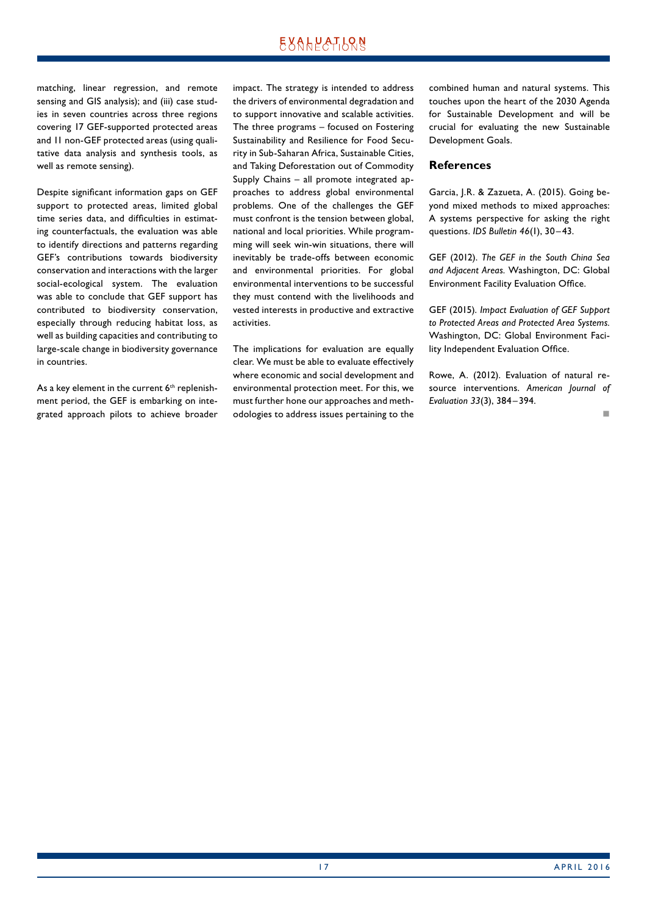matching, linear regression, and remote sensing and GIS analysis); and (iii) case studies in seven countries across three regions covering 17 GEF-supported protected areas and 11 non-GEF protected areas (using qualitative data analysis and synthesis tools, as well as remote sensing).

Despite significant information gaps on GEF support to protected areas, limited global time series data, and difficulties in estimating counterfactuals, the evaluation was able to identify directions and patterns regarding GEF's contributions towards biodiversity conservation and interactions with the larger social-ecological system. The evaluation was able to conclude that GEF support has contributed to biodiversity conservation, especially through reducing habitat loss, as well as building capacities and contributing to large-scale change in biodiversity governance in countries.

As a key element in the current  $6<sup>th</sup>$  replenishment period, the GEF is embarking on integrated approach pilots to achieve broader impact. The strategy is intended to address the drivers of environmental degradation and to support innovative and scalable activities. The three programs – focused on Fostering Sustainability and Resilience for Food Security in Sub-Saharan Africa, Sustainable Cities, and Taking Deforestation out of Commodity Supply Chains – all promote integrated approaches to address global environmental problems. One of the challenges the GEF must confront is the tension between global, national and local priorities. While programming will seek win-win situations, there will inevitably be trade-offs between economic and environmental priorities. For global environmental interventions to be successful they must contend with the livelihoods and vested interests in productive and extractive activities.

The implications for evaluation are equally clear. We must be able to evaluate effectively where economic and social development and environmental protection meet. For this, we must further hone our approaches and methodologies to address issues pertaining to the combined human and natural systems. This touches upon the heart of the 2030 Agenda for Sustainable Development and will be crucial for evaluating the new Sustainable Development Goals.

#### **References**

Garcia, J.R. & Zazueta, A. (2015). Going beyond mixed methods to mixed approaches: A systems perspective for asking the right questions. *IDS Bulletin 46*(1), 30–43.

GEF (2012). *The GEF in the South China Sea and Adjacent Areas.* Washington, DC: Global Environment Facility Evaluation Office.

GEF (2015). *Impact Evaluation of GEF Support to Protected Areas and Protected Area Systems.* Washington, DC: Global Environment Facility Independent Evaluation Office.

Rowe, A. (2012). Evaluation of natural resource interventions. *American Journal of Evaluation 33*(3), 384– 394.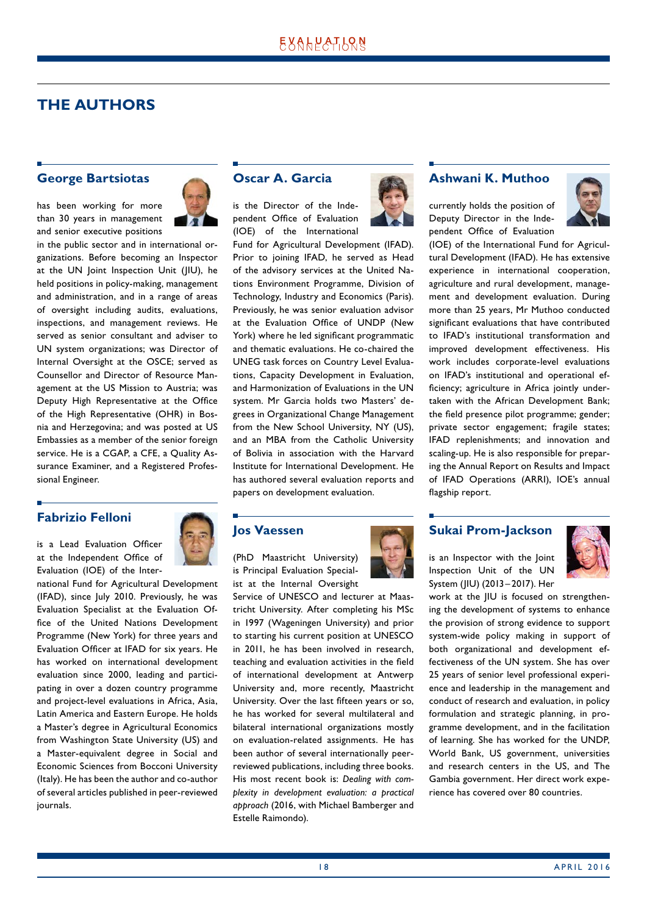### <span id="page-17-0"></span>**THE AUTHORS**

#### **George Bartsiotas**

has been working for more than 30 years in management and senior executive positions



in the public sector and in international organizations. Before becoming an Inspector at the UN Joint Inspection Unit (JIU), he held positions in policy-making, management and administration, and in a range of areas of oversight including audits, evaluations, inspections, and management reviews. He served as senior consultant and adviser to UN system organizations; was Director of Internal Oversight at the OSCE; served as Counsellor and Director of Resource Management at the US Mission to Austria; was Deputy High Representative at the Office of the High Representative (OHR) in Bosnia and Herzegovina; and was posted at US Embassies as a member of the senior foreign service. He is a CGAP, a CFE, a Quality Assurance Examiner, and a Registered Professional Engineer.

### **Fabrizio Felloni**

is a Lead Evaluation Officer at the Independent Office of Evaluation (IOE) of the Inter-



national Fund for Agricultural Development (IFAD), since July 2010. Previously, he was Evaluation Specialist at the Evaluation Office of the United Nations Development Programme (New York) for three years and Evaluation Officer at IFAD for six years. He has worked on international development evaluation since 2000, leading and participating in over a dozen country programme and project-level evaluations in Africa, Asia, Latin America and Eastern Europe. He holds a Master's degree in Agricultural Economics from Washington State University (US) and a Master-equivalent degree in Social and Economic Sciences from Bocconi University (Italy). He has been the author and co-author of several articles published in peer-reviewed journals.

### **Oscar A. Garcia**

is the Director of the Independent Office of Evaluation (IOE) of the International

Fund for Agricultural Development (IFAD). Prior to joining IFAD, he served as Head of the advisory services at the United Nations Environment Programme, Division of Technology, Industry and Economics (Paris). Previously, he was senior evaluation advisor at the Evaluation Office of UNDP (New York) where he led significant programmatic and thematic evaluations. He co-chaired the UNEG task forces on Country Level Evaluations, Capacity Development in Evaluation, and Harmonization of Evaluations in the UN system. Mr Garcia holds two Masters' degrees in Organizational Change Management from the New School University, NY (US), and an MBA from the Catholic University of Bolivia in association with the Harvard Institute for International Development. He has authored several evaluation reports and papers on development evaluation.

#### **Jos Vaessen**

(PhD Maastricht University) is Principal Evaluation Specialist at the Internal Oversight

Service of UNESCO and lecturer at Maastricht University. After completing his MSc in 1997 (Wageningen University) and prior to starting his current position at UNESCO in 2011, he has been involved in research, teaching and evaluation activities in the field of international development at Antwerp University and, more recently, Maastricht University. Over the last fifteen years or so, he has worked for several multilateral and bilateral international organizations mostly on evaluation-related assignments. He has been author of several internationally peerreviewed publications, including three books. His most recent book is: *Dealing with complexity in development evaluation: a practical approach* (2016, with Michael Bamberger and Estelle Raimondo).



### **Ashwani K. Muthoo**

currently holds the position of Deputy Director in the Independent Office of Evaluation



(IOE) of the International Fund for Agricultural Development (IFAD). He has extensive experience in international cooperation, agriculture and rural development, management and development evaluation. During more than 25 years, Mr Muthoo conducted significant evaluations that have contributed to IFAD's institutional transformation and improved development effectiveness. His work includes corporate-level evaluations on IFAD's institutional and operational efficiency; agriculture in Africa jointly undertaken with the African Development Bank; the field presence pilot programme; gender; private sector engagement; fragile states; IFAD replenishments; and innovation and scaling-up. He is also responsible for preparing the Annual Report on Results and Impact of IFAD Operations (ARRI), IOE's annual flagship report.

### **Sukai Prom-Jackson**

is an Inspector with the Joint Inspection Unit of the UN System (JIU) (2013 –2017). Her



work at the JIU is focused on strengthening the development of systems to enhance the provision of strong evidence to support system-wide policy making in support of both organizational and development effectiveness of the UN system. She has over 25 years of senior level professional experience and leadership in the management and conduct of research and evaluation, in policy formulation and strategic planning, in programme development, and in the facilitation of learning. She has worked for the UNDP, World Bank, US government, universities and research centers in the US, and The Gambia government. Her direct work experience has covered over 80 countries.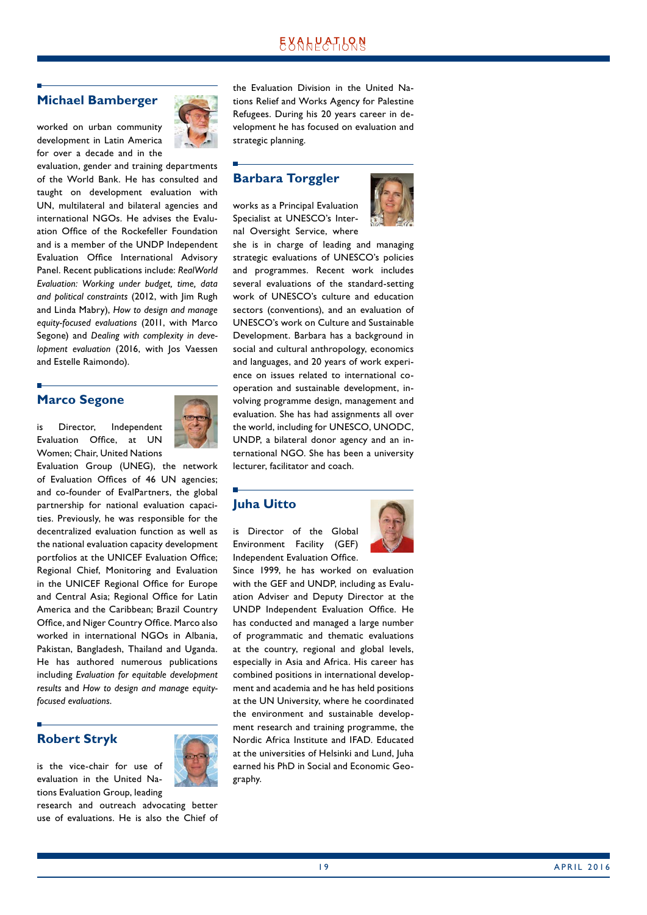### **Michael Bamberger**

worked on urban community development in Latin America for over a decade and in the



### **Marco Segone**

is Director, Independent Evaluation Office, at UN Women; Chair, United Nations



Evaluation Group (UNEG), the network of Evaluation Offices of 46 UN agencies; and co-founder of EvalPartners, the global partnership for national evaluation capacities. Previously, he was responsible for the decentralized evaluation function as well as the national evaluation capacity development portfolios at the UNICEF Evaluation Office; Regional Chief, Monitoring and Evaluation in the UNICEF Regional Office for Europe and Central Asia; Regional Office for Latin America and the Caribbean; Brazil Country Office, and Niger Country Office. Marco also worked in international NGOs in Albania, Pakistan, Bangladesh, Thailand and Uganda. He has authored numerous publications including *Evaluation for equitable development results* and *How to design and manage equityfocused evaluations*.

### **Robert Stryk**



tions Evaluation Group, leading research and outreach advocating better use of evaluations. He is also the Chief of the Evaluation Division in the United Nations Relief and Works Agency for Palestine Refugees. During his 20 years career in development he has focused on evaluation and strategic planning.

#### **Barbara Torggler**

works as a Principal Evaluation Specialist at UNESCO's Internal Oversight Service, where



she is in charge of leading and managing strategic evaluations of UNESCO's policies and programmes. Recent work includes several evaluations of the standard-setting work of UNESCO's culture and education sectors (conventions), and an evaluation of UNESCO's work on Culture and Sustainable Development. Barbara has a background in social and cultural anthropology, economics and languages, and 20 years of work experience on issues related to international cooperation and sustainable development, involving programme design, management and evaluation. She has had assignments all over the world, including for UNESCO, UNODC, UNDP, a bilateral donor agency and an international NGO. She has been a university lecturer, facilitator and coach.

### **Juha Uitto**

is Director of the Global Environment Facility (GEF) Independent Evaluation Office.